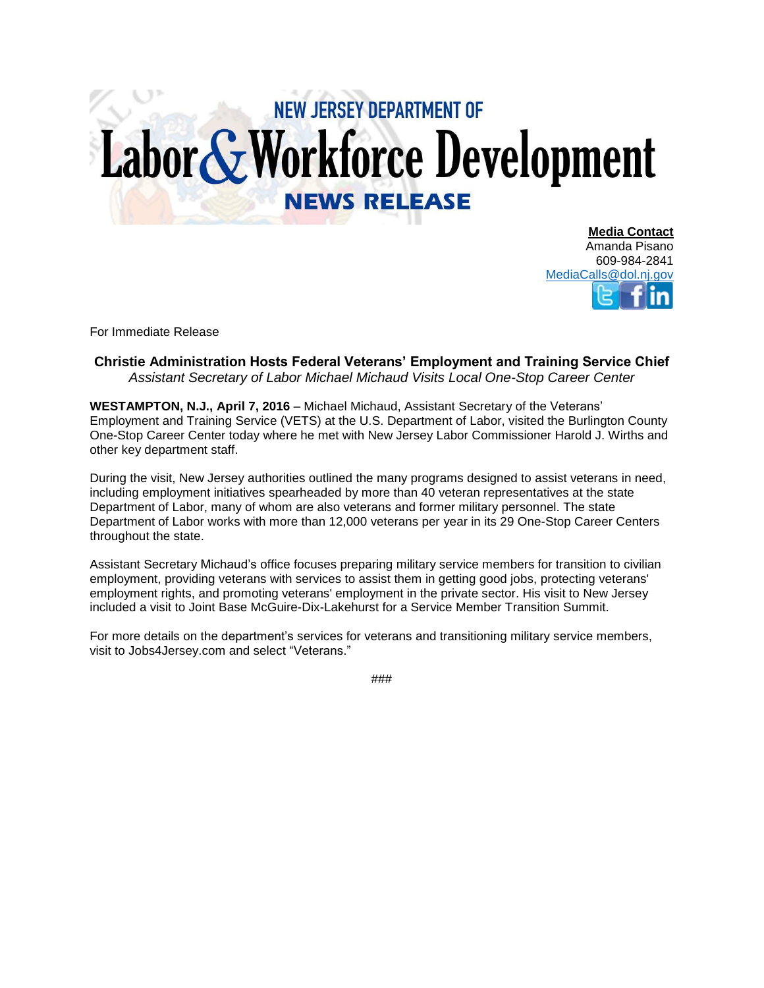## **NEW JERSEY DEPARTMENT OF** Labor & Workforce Development **NEWS RELEASE**

**Media Contact** Amanda Pisano 609-984-2841 [MediaCalls@dol.nj.gov](mailto:MediaCalls@dol.nj.gov)

For Immediate Release

## **Christie Administration Hosts Federal Veterans' Employment and Training Service Chief** *Assistant Secretary of Labor Michael Michaud Visits Local One-Stop Career Center*

**WESTAMPTON, N.J., April 7, 2016** – Michael Michaud, Assistant Secretary of the Veterans' Employment and Training Service (VETS) at the U.S. Department of Labor, visited the Burlington County One-Stop Career Center today where he met with New Jersey Labor Commissioner Harold J. Wirths and other key department staff.

During the visit, New Jersey authorities outlined the many programs designed to assist veterans in need, including employment initiatives spearheaded by more than 40 veteran representatives at the state Department of Labor, many of whom are also veterans and former military personnel. The state Department of Labor works with more than 12,000 veterans per year in its 29 One-Stop Career Centers throughout the state.

Assistant Secretary Michaud's office focuses preparing military service members for transition to civilian employment, providing veterans with services to assist them in getting good jobs, protecting veterans' employment rights, and promoting veterans' employment in the private sector. His visit to New Jersey included a visit to Joint Base McGuire-Dix-Lakehurst for a Service Member Transition Summit.

For more details on the department's services for veterans and transitioning military service members, visit to Jobs4Jersey.com and select "Veterans."

###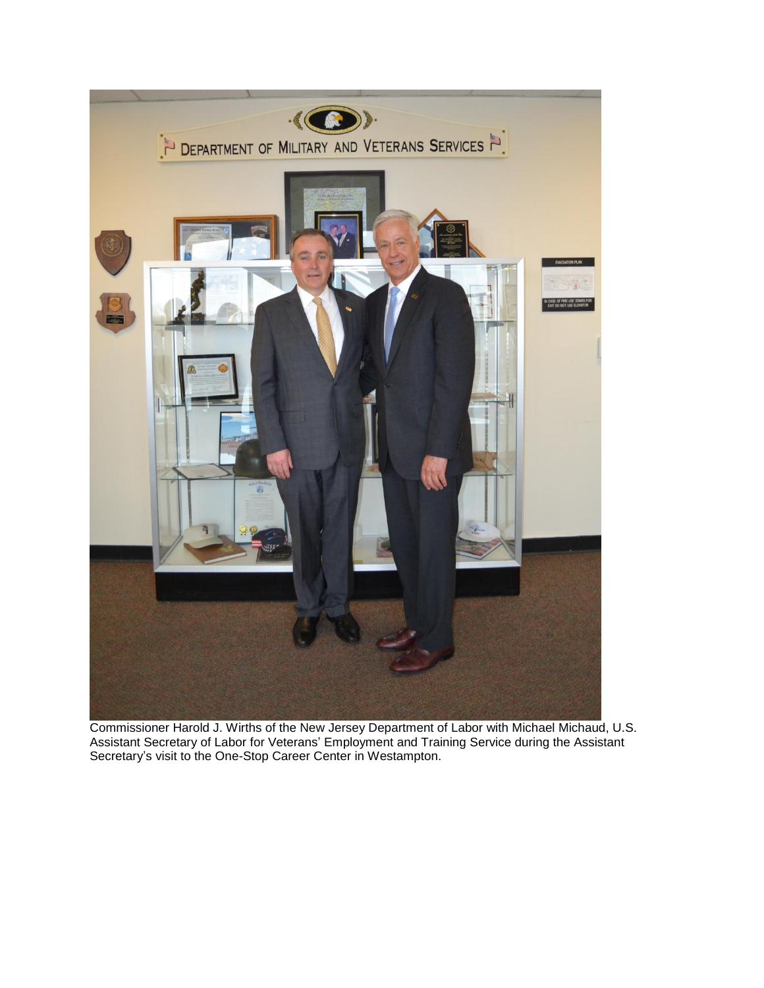

Commissioner Harold J. Wirths of the New Jersey Department of Labor with Michael Michaud, U.S. Assistant Secretary of Labor for Veterans' Employment and Training Service during the Assistant Secretary's visit to the One-Stop Career Center in Westampton.